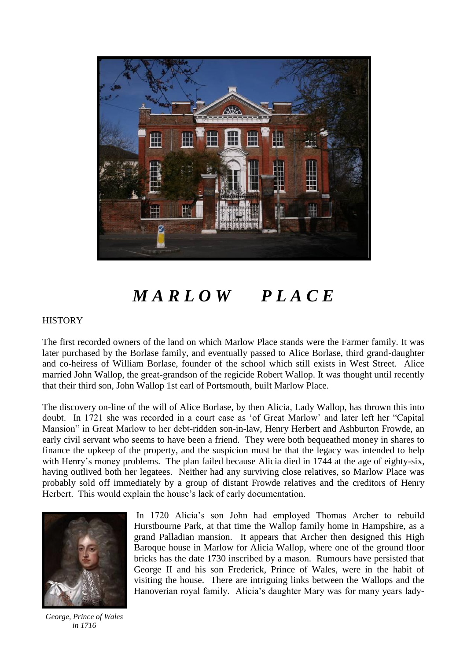

## *M A R L O W P L A C E*

## **HISTORY**

The first recorded owners of the land on which Marlow Place stands were the Farmer family. It was later purchased by the Borlase family, and eventually passed to Alice Borlase, third grand-daughter and co-heiress of William Borlase, founder of the school which still exists in West Street. Alice married John Wallop, the great-grandson of the regicide Robert Wallop. It was thought until recently that their third son, John Wallop 1st earl of Portsmouth, built Marlow Place.

The discovery on-line of the will of Alice Borlase, by then Alicia, Lady Wallop, has thrown this into doubt. In 1721 she was recorded in a court case as 'of Great Marlow' and later left her "Capital Mansion" in Great Marlow to her debt-ridden son-in-law, Henry Herbert and Ashburton Frowde, an early civil servant who seems to have been a friend. They were both bequeathed money in shares to finance the upkeep of the property, and the suspicion must be that the legacy was intended to help with Henry's money problems. The plan failed because Alicia died in 1744 at the age of eighty-six, having outlived both her legatees. Neither had any surviving close relatives, so Marlow Place was probably sold off immediately by a group of distant Frowde relatives and the creditors of Henry Herbert. This would explain the house's lack of early documentation.



In 1720 Alicia's son John had employed Thomas Archer to rebuild Hurstbourne Park, at that time the Wallop family home in Hampshire, as a grand Palladian mansion. It appears that Archer then designed this High Baroque house in Marlow for Alicia Wallop, where one of the ground floor bricks has the date 1730 inscribed by a mason. Rumours have persisted that George II and his son Frederick, Prince of Wales, were in the habit of visiting the house. There are intriguing links between the Wallops and the Hanoverian royal family. Alicia's daughter Mary was for many years lady-

*George, Prince of Wales in 1716*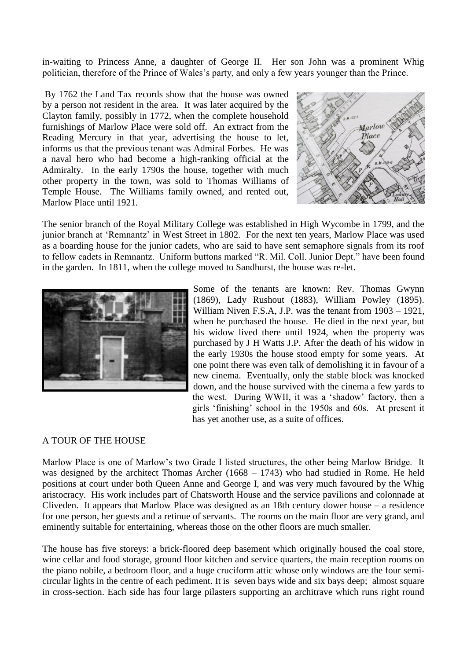in-waiting to Princess Anne, a daughter of George II. Her son John was a prominent Whig politician, therefore of the Prince of Wales's party, and only a few years younger than the Prince.

By 1762 the Land Tax records show that the house was owned by a person not resident in the area. It was later acquired by the Clayton family, possibly in 1772, when the complete household furnishings of Marlow Place were sold off. An extract from the Reading Mercury in that year, advertising the house to let, informs us that the previous tenant was Admiral Forbes. He was a naval hero who had become a high-ranking official at the Admiralty. In the early 1790s the house, together with much other property in the town, was sold to Thomas Williams of Temple House. The Williams family owned, and rented out, Marlow Place until 1921.



The senior branch of the Royal Military College was established in High Wycombe in 1799, and the junior branch at 'Remnantz' in West Street in 1802. For the next ten years, Marlow Place was used as a boarding house for the junior cadets, who are said to have sent semaphore signals from its roof to fellow cadets in Remnantz. Uniform buttons marked "R. Mil. Coll. Junior Dept." have been found in the garden. In 1811, when the college moved to Sandhurst, the house was re-let.



Some of the tenants are known: Rev. Thomas Gwynn (1869), Lady Rushout (1883), William Powley (1895). William Niven F.S.A, J.P. was the tenant from 1903 – 1921, when he purchased the house. He died in the next year, but his widow lived there until 1924, when the property was purchased by J H Watts J.P. After the death of his widow in the early 1930s the house stood empty for some years. At one point there was even talk of demolishing it in favour of a new cinema. Eventually, only the stable block was knocked down, and the house survived with the cinema a few yards to the west. During WWII, it was a 'shadow' factory, then a girls 'finishing' school in the 1950s and 60s. At present it has yet another use, as a suite of offices.

## A TOUR OF THE HOUSE

Marlow Place is one of Marlow's two Grade I listed structures, the other being Marlow Bridge. It was designed by the architect Thomas Archer (1668 – 1743) who had studied in Rome. He held positions at court under both Queen Anne and George I, and was very much favoured by the Whig aristocracy. His work includes part of Chatsworth House and the service pavilions and colonnade at Cliveden. It appears that Marlow Place was designed as an 18th century dower house – a residence for one person, her guests and a retinue of servants. The rooms on the main floor are very grand, and eminently suitable for entertaining, whereas those on the other floors are much smaller.

The house has five storeys: a brick-floored deep basement which originally housed the coal store, wine cellar and food storage, ground floor kitchen and service quarters, the main reception rooms on the piano nobile, a bedroom floor, and a huge cruciform attic whose only windows are the four semicircular lights in the centre of each pediment. It is seven bays wide and six bays deep; almost square in cross-section. Each side has four large pilasters supporting an architrave which runs right round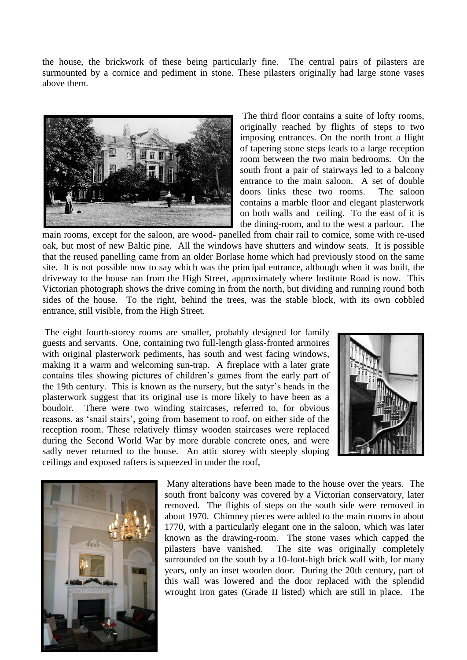the house, the brickwork of these being particularly fine. The central pairs of pilasters are surmounted by a cornice and pediment in stone. These pilasters originally had large stone vases above them.



The third floor contains a suite of lofty rooms, originally reached by flights of steps to two imposing entrances. On the north front a flight of tapering stone steps leads to a large reception room between the two main bedrooms. On the south front a pair of stairways led to a balcony entrance to the main saloon. A set of double doors links these two rooms. The saloon contains a marble floor and elegant plasterwork on both walls and ceiling. To the east of it is the dining-room, and to the west a parlour. The

main rooms, except for the saloon, are wood- panelled from chair rail to cornice, some with re-used oak, but most of new Baltic pine. All the windows have shutters and window seats. It is possible that the reused panelling came from an older Borlase home which had previously stood on the same site. It is not possible now to say which was the principal entrance, although when it was built, the driveway to the house ran from the High Street, approximately where Institute Road is now. This Victorian photograph shows the drive coming in from the north, but dividing and running round both sides of the house. To the right, behind the trees, was the stable block, with its own cobbled entrance, still visible, from the High Street.

The eight fourth-storey rooms are smaller, probably designed for family guests and servants. One, containing two full-length glass-fronted armoires with original plasterwork pediments, has south and west facing windows, making it a warm and welcoming sun-trap. A fireplace with a later grate contains tiles showing pictures of children's games from the early part of the 19th century. This is known as the nursery, but the satyr's heads in the plasterwork suggest that its original use is more likely to have been as a boudoir. There were two winding staircases, referred to, for obvious reasons, as 'snail stairs', going from basement to roof, on either side of the reception room. These relatively flimsy wooden staircases were replaced during the Second World War by more durable concrete ones, and were sadly never returned to the house. An attic storey with steeply sloping ceilings and exposed rafters is squeezed in under the roof,





Many alterations have been made to the house over the years. The south front balcony was covered by a Victorian conservatory, later removed. The flights of steps on the south side were removed in about 1970. Chimney pieces were added to the main rooms in about 1770, with a particularly elegant one in the saloon, which was later known as the drawing-room. The stone vases which capped the pilasters have vanished. The site was originally completely surrounded on the south by a 10-foot-high brick wall with, for many years, only an inset wooden door. During the 20th century, part of this wall was lowered and the door replaced with the splendid wrought iron gates (Grade II listed) which are still in place. The